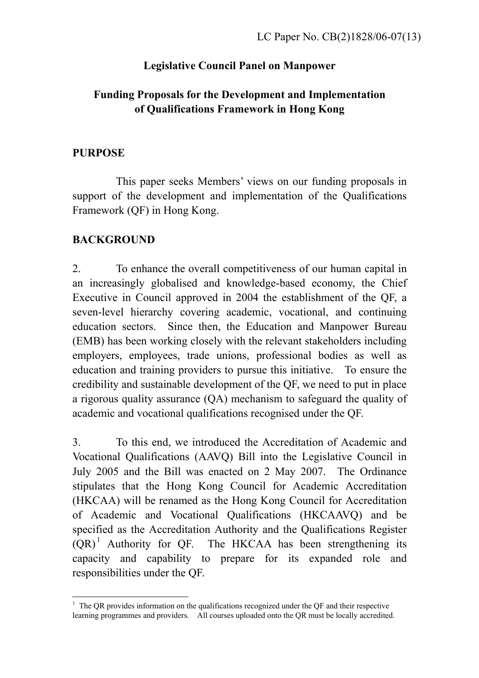# **Legislative Council Panel on Manpower**

# **Funding Proposals for the Development and Implementation of Qualifications Framework in Hong Kong**

### **PURPOSE**

 This paper seeks Members' views on our funding proposals in support of the development and implementation of the Qualifications Framework (QF) in Hong Kong.

# **BACKGROUND**

2. To enhance the overall competitiveness of our human capital in an increasingly globalised and knowledge-based economy, the Chief Executive in Council approved in 2004 the establishment of the QF, a seven-level hierarchy covering academic, vocational, and continuing education sectors. Since then, the Education and Manpower Bureau (EMB) has been working closely with the relevant stakeholders including employers, employees, trade unions, professional bodies as well as education and training providers to pursue this initiative. To ensure the credibility and sustainable development of the QF, we need to put in place a rigorous quality assurance (QA) mechanism to safeguard the quality of academic and vocational qualifications recognised under the QF.

3. To this end, we introduced the Accreditation of Academic and Vocational Qualifications (AAVQ) Bill into the Legislative Council in July 2005 and the Bill was enacted on 2 May 2007. The Ordinance stipulates that the Hong Kong Council for Academic Accreditation (HKCAA) will be renamed as the Hong Kong Council for Accreditation of Academic and Vocational Qualifications (HKCAAVQ) and be specified as the Accreditation Authority and the Qualifications Register  $(QR)^1$  Authority for QF. The HKCAA has been strengthening its capacity and capability to prepare for its expanded role and responsibilities under the QF.

 $\overline{a}$  $1$  The QR provides information on the qualifications recognized under the QF and their respective learning programmes and providers. All courses uploaded onto the QR must be locally accredited.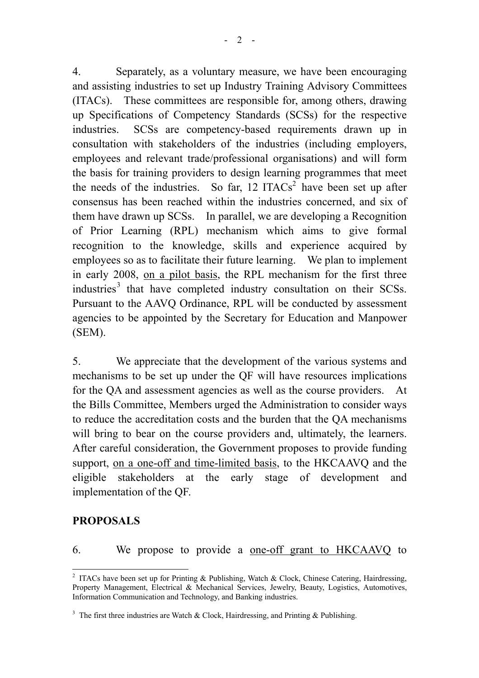4. Separately, as a voluntary measure, we have been encouraging and assisting industries to set up Industry Training Advisory Committees (ITACs). These committees are responsible for, among others, drawing up Specifications of Competency Standards (SCSs) for the respective industries. SCSs are competency-based requirements drawn up in consultation with stakeholders of the industries (including employers, employees and relevant trade/professional organisations) and will form the basis for training providers to design learning programmes that meet the needs of the industries. So far,  $12$  ITACs<sup>2</sup> have been set up after consensus has been reached within the industries concerned, and six of them have drawn up SCSs. In parallel, we are developing a Recognition of Prior Learning (RPL) mechanism which aims to give formal recognition to the knowledge, skills and experience acquired by employees so as to facilitate their future learning. We plan to implement in early 2008, on a pilot basis, the RPL mechanism for the first three industries<sup>3</sup> that have completed industry consultation on their SCSs. Pursuant to the AAVQ Ordinance, RPL will be conducted by assessment agencies to be appointed by the Secretary for Education and Manpower (SEM).

5. We appreciate that the development of the various systems and mechanisms to be set up under the QF will have resources implications for the QA and assessment agencies as well as the course providers. At the Bills Committee, Members urged the Administration to consider ways to reduce the accreditation costs and the burden that the QA mechanisms will bring to bear on the course providers and, ultimately, the learners. After careful consideration, the Government proposes to provide funding support, on a one-off and time-limited basis, to the HKCAAVQ and the eligible stakeholders at the early stage of development and implementation of the QF.

### **PROPOSALS**

 $\overline{a}$ 

## 6. We propose to provide a one-off grant to HKCAAVQ to

<sup>&</sup>lt;sup>2</sup> ITACs have been set up for Printing & Publishing, Watch & Clock, Chinese Catering, Hairdressing, Property Management, Electrical & Mechanical Services, Jewelry, Beauty, Logistics, Automotives, Information Communication and Technology, and Banking industries.

<sup>&</sup>lt;sup>3</sup> The first three industries are Watch & Clock, Hairdressing, and Printing & Publishing.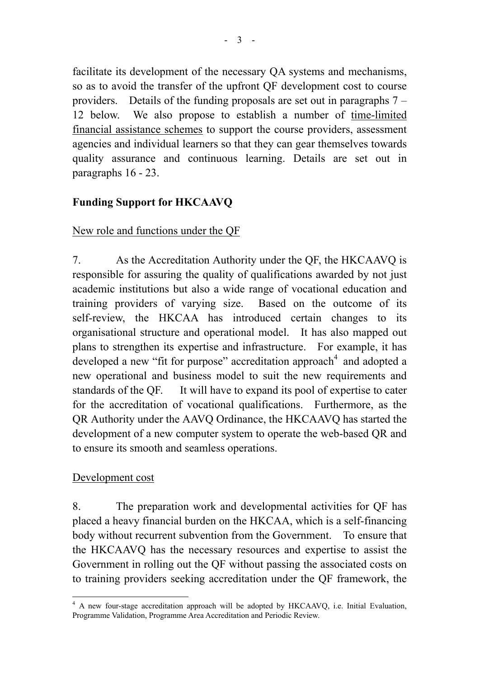facilitate its development of the necessary QA systems and mechanisms, so as to avoid the transfer of the upfront QF development cost to course providers. Details of the funding proposals are set out in paragraphs 7 – 12 below. We also propose to establish a number of time-limited financial assistance schemes to support the course providers, assessment agencies and individual learners so that they can gear themselves towards quality assurance and continuous learning. Details are set out in paragraphs 16 - 23.

## **Funding Support for HKCAAVQ**

### New role and functions under the QF

7. As the Accreditation Authority under the QF, the HKCAAVQ is responsible for assuring the quality of qualifications awarded by not just academic institutions but also a wide range of vocational education and training providers of varying size. Based on the outcome of its self-review, the HKCAA has introduced certain changes to its organisational structure and operational model. It has also mapped out plans to strengthen its expertise and infrastructure. For example, it has developed a new "fit for purpose" accreditation approach<sup>4</sup> and adopted a new operational and business model to suit the new requirements and standards of the QF. It will have to expand its pool of expertise to cater for the accreditation of vocational qualifications. Furthermore, as the QR Authority under the AAVQ Ordinance, the HKCAAVQ has started the development of a new computer system to operate the web-based QR and to ensure its smooth and seamless operations.

### Development cost

8. The preparation work and developmental activities for QF has placed a heavy financial burden on the HKCAA, which is a self-financing body without recurrent subvention from the Government. To ensure that the HKCAAVQ has the necessary resources and expertise to assist the Government in rolling out the QF without passing the associated costs on to training providers seeking accreditation under the QF framework, the

 $\overline{a}$ <sup>4</sup> A new four-stage accreditation approach will be adopted by HKCAAVQ, i.e. Initial Evaluation, Programme Validation, Programme Area Accreditation and Periodic Review.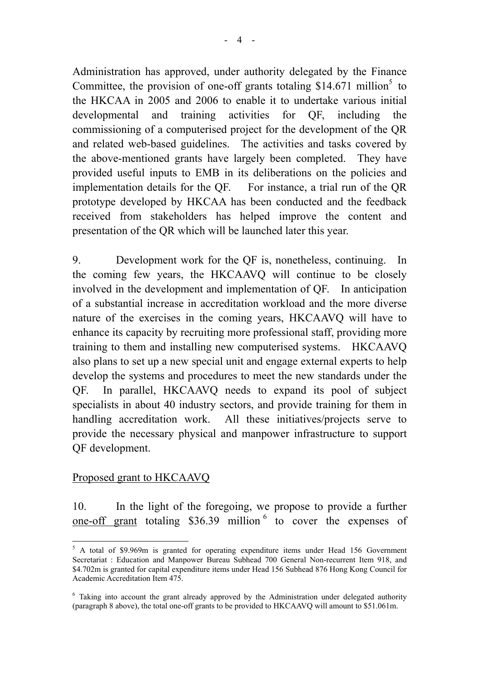Administration has approved, under authority delegated by the Finance Committee, the provision of one-off grants totaling  $$14.671$  million<sup>5</sup> to the HKCAA in 2005 and 2006 to enable it to undertake various initial developmental and training activities for QF, including the commissioning of a computerised project for the development of the QR and related web-based guidelines. The activities and tasks covered by the above-mentioned grants have largely been completed. They have provided useful inputs to EMB in its deliberations on the policies and implementation details for the QF. For instance, a trial run of the QR prototype developed by HKCAA has been conducted and the feedback received from stakeholders has helped improve the content and presentation of the QR which will be launched later this year.

9. Development work for the QF is, nonetheless, continuing. In the coming few years, the HKCAAVQ will continue to be closely involved in the development and implementation of QF. In anticipation of a substantial increase in accreditation workload and the more diverse nature of the exercises in the coming years, HKCAAVQ will have to enhance its capacity by recruiting more professional staff, providing more training to them and installing new computerised systems. HKCAAVQ also plans to set up a new special unit and engage external experts to help develop the systems and procedures to meet the new standards under the QF. In parallel, HKCAAVQ needs to expand its pool of subject specialists in about 40 industry sectors, and provide training for them in handling accreditation work. All these initiatives/projects serve to provide the necessary physical and manpower infrastructure to support QF development.

## Proposed grant to HKCAAVQ

10. In the light of the foregoing, we propose to provide a further one-off grant totaling \$36.39 million<sup>6</sup> to cover the expenses of

 $\overline{a}$ <sup>5</sup> A total of \$9.969m is granted for operating expenditure items under Head 156 Government Secretariat : Education and Manpower Bureau Subhead 700 General Non-recurrent Item 918, and \$4.702m is granted for capital expenditure items under Head 156 Subhead 876 Hong Kong Council for Academic Accreditation Item 475.

<sup>&</sup>lt;sup>6</sup> Taking into account the grant already approved by the Administration under delegated authority (paragraph 8 above), the total one-off grants to be provided to HKCAAVQ will amount to \$51.061m.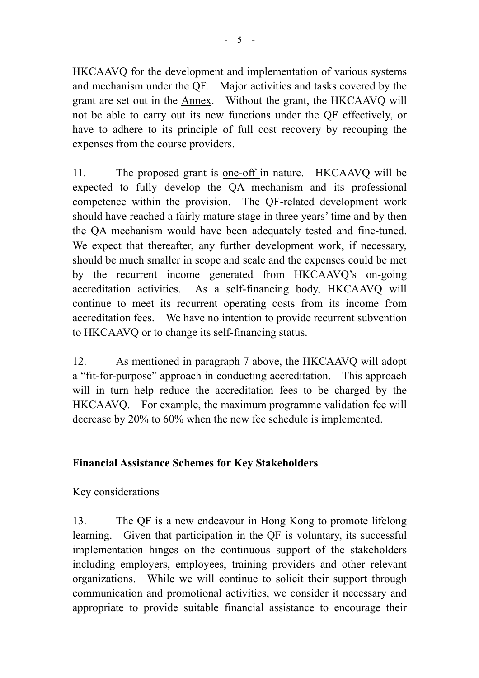HKCAAVQ for the development and implementation of various systems and mechanism under the QF. Major activities and tasks covered by the grant are set out in the Annex. Without the grant, the HKCAAVQ will not be able to carry out its new functions under the QF effectively, or have to adhere to its principle of full cost recovery by recouping the expenses from the course providers.

11. The proposed grant is one-off in nature. HKCAAVQ will be expected to fully develop the QA mechanism and its professional competence within the provision. The QF-related development work should have reached a fairly mature stage in three years' time and by then the QA mechanism would have been adequately tested and fine-tuned. We expect that thereafter, any further development work, if necessary, should be much smaller in scope and scale and the expenses could be met by the recurrent income generated from HKCAAVQ's on-going accreditation activities. As a self-financing body, HKCAAVQ will continue to meet its recurrent operating costs from its income from accreditation fees. We have no intention to provide recurrent subvention to HKCAAVQ or to change its self-financing status.

12. As mentioned in paragraph 7 above, the HKCAAVQ will adopt a "fit-for-purpose" approach in conducting accreditation. This approach will in turn help reduce the accreditation fees to be charged by the HKCAAVQ. For example, the maximum programme validation fee will decrease by 20% to 60% when the new fee schedule is implemented.

## **Financial Assistance Schemes for Key Stakeholders**

### Key considerations

13. The QF is a new endeavour in Hong Kong to promote lifelong learning. Given that participation in the QF is voluntary, its successful implementation hinges on the continuous support of the stakeholders including employers, employees, training providers and other relevant organizations. While we will continue to solicit their support through communication and promotional activities, we consider it necessary and appropriate to provide suitable financial assistance to encourage their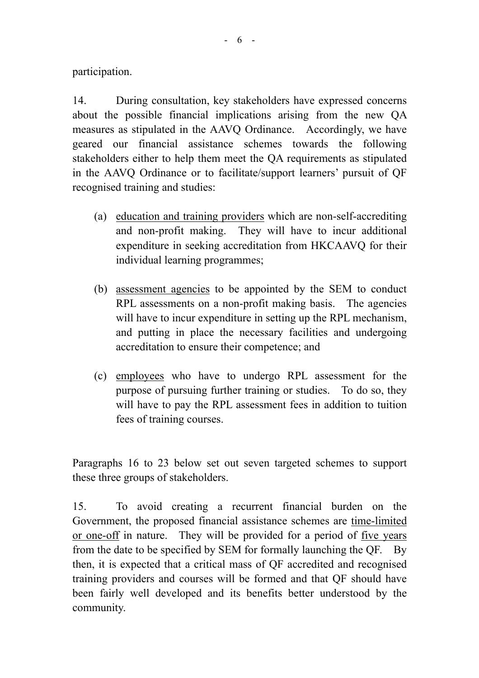participation.

14. During consultation, key stakeholders have expressed concerns about the possible financial implications arising from the new QA measures as stipulated in the AAVQ Ordinance. Accordingly, we have geared our financial assistance schemes towards the following stakeholders either to help them meet the QA requirements as stipulated in the AAVQ Ordinance or to facilitate/support learners' pursuit of QF recognised training and studies:

- (a) education and training providers which are non-self-accrediting and non-profit making. They will have to incur additional expenditure in seeking accreditation from HKCAAVQ for their individual learning programmes;
- (b) assessment agencies to be appointed by the SEM to conduct RPL assessments on a non-profit making basis. The agencies will have to incur expenditure in setting up the RPL mechanism, and putting in place the necessary facilities and undergoing accreditation to ensure their competence; and
- (c) employees who have to undergo RPL assessment for the purpose of pursuing further training or studies. To do so, they will have to pay the RPL assessment fees in addition to tuition fees of training courses.

Paragraphs 16 to 23 below set out seven targeted schemes to support these three groups of stakeholders.

15. To avoid creating a recurrent financial burden on the Government, the proposed financial assistance schemes are time-limited or one-off in nature. They will be provided for a period of five years from the date to be specified by SEM for formally launching the QF. By then, it is expected that a critical mass of QF accredited and recognised training providers and courses will be formed and that QF should have been fairly well developed and its benefits better understood by the community.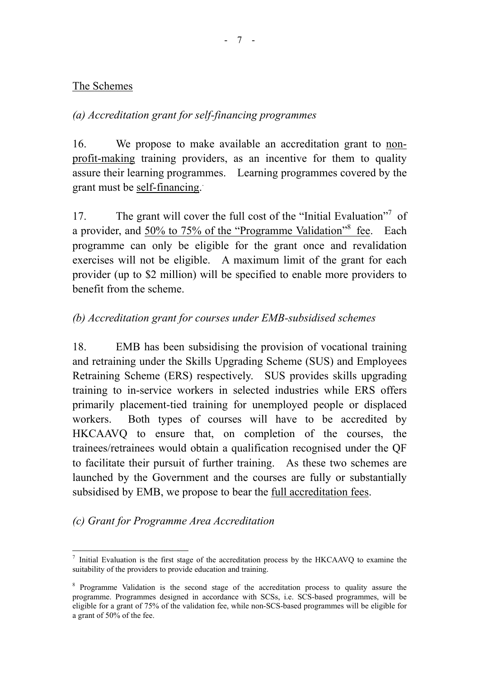### The Schemes

## *(a) Accreditation grant for self-financing programmes*

16. We propose to make available an accreditation grant to nonprofit-making training providers, as an incentive for them to quality assure their learning programmes. Learning programmes covered by the grant must be self-financing.

17. The grant will cover the full cost of the "Initial Evaluation"<sup>7</sup> of a provider, and 50% to 75% of the "Programme Validation"<sup>8</sup> fee. Each programme can only be eligible for the grant once and revalidation exercises will not be eligible. A maximum limit of the grant for each provider (up to \$2 million) will be specified to enable more providers to benefit from the scheme.

# *(b) Accreditation grant for courses under EMB-subsidised schemes*

18. EMB has been subsidising the provision of vocational training and retraining under the Skills Upgrading Scheme (SUS) and Employees Retraining Scheme (ERS) respectively. SUS provides skills upgrading training to in-service workers in selected industries while ERS offers primarily placement-tied training for unemployed people or displaced workers. Both types of courses will have to be accredited by HKCAAVQ to ensure that, on completion of the courses, the trainees/retrainees would obtain a qualification recognised under the QF to facilitate their pursuit of further training. As these two schemes are launched by the Government and the courses are fully or substantially subsidised by EMB, we propose to bear the full accreditation fees.

## *(c) Grant for Programme Area Accreditation*

 $\overline{a}$ 7 Initial Evaluation is the first stage of the accreditation process by the HKCAAVQ to examine the suitability of the providers to provide education and training.

<sup>&</sup>lt;sup>8</sup> Programme Validation is the second stage of the accreditation process to quality assure the programme. Programmes designed in accordance with SCSs, i.e. SCS-based programmes, will be eligible for a grant of 75% of the validation fee, while non-SCS-based programmes will be eligible for a grant of 50% of the fee.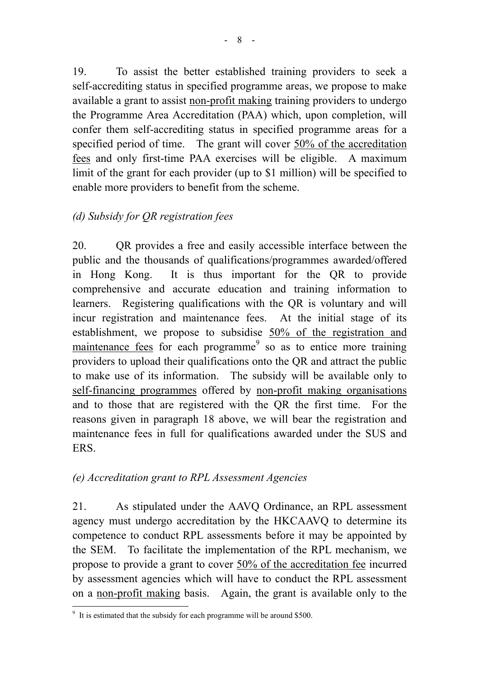19. To assist the better established training providers to seek a self-accrediting status in specified programme areas, we propose to make available a grant to assist non-profit making training providers to undergo the Programme Area Accreditation (PAA) which, upon completion, will confer them self-accrediting status in specified programme areas for a specified period of time. The grant will cover 50% of the accreditation fees and only first-time PAA exercises will be eligible. A maximum limit of the grant for each provider (up to \$1 million) will be specified to enable more providers to benefit from the scheme.

# *(d) Subsidy for QR registration fees*

20. QR provides a free and easily accessible interface between the public and the thousands of qualifications/programmes awarded/offered in Hong Kong. It is thus important for the QR to provide comprehensive and accurate education and training information to learners. Registering qualifications with the QR is voluntary and will incur registration and maintenance fees. At the initial stage of its establishment, we propose to subsidise 50% of the registration and maintenance fees for each programme<sup>9</sup> so as to entice more training providers to upload their qualifications onto the QR and attract the public to make use of its information. The subsidy will be available only to self-financing programmes offered by non-profit making organisations and to those that are registered with the QR the first time. For the reasons given in paragraph 18 above, we will bear the registration and maintenance fees in full for qualifications awarded under the SUS and ERS.

## *(e) Accreditation grant to RPL Assessment Agencies*

21. As stipulated under the AAVQ Ordinance, an RPL assessment agency must undergo accreditation by the HKCAAVQ to determine its competence to conduct RPL assessments before it may be appointed by the SEM. To facilitate the implementation of the RPL mechanism, we propose to provide a grant to cover 50% of the accreditation fee incurred by assessment agencies which will have to conduct the RPL assessment on a non-profit making basis. Again, the grant is available only to the

<sup>&</sup>lt;sup>9</sup> It is estimated that the subsidy for each programme will be around \$500.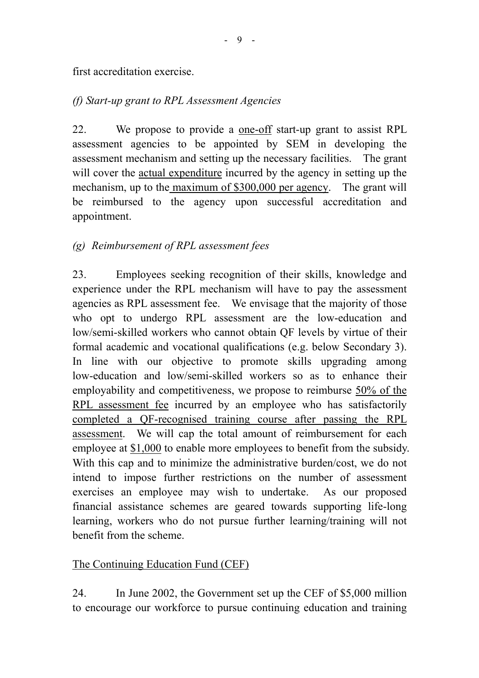#### first accreditation exercise.

### *(f) Start-up grant to RPL Assessment Agencies*

22. We propose to provide a one-off start-up grant to assist RPL assessment agencies to be appointed by SEM in developing the assessment mechanism and setting up the necessary facilities. The grant will cover the actual expenditure incurred by the agency in setting up the mechanism, up to the maximum of \$300,000 per agency. The grant will be reimbursed to the agency upon successful accreditation and appointment.

### *(g) Reimbursement of RPL assessment fees*

23. Employees seeking recognition of their skills, knowledge and experience under the RPL mechanism will have to pay the assessment agencies as RPL assessment fee. We envisage that the majority of those who opt to undergo RPL assessment are the low-education and low/semi-skilled workers who cannot obtain QF levels by virtue of their formal academic and vocational qualifications (e.g. below Secondary 3). In line with our objective to promote skills upgrading among low-education and low/semi-skilled workers so as to enhance their employability and competitiveness, we propose to reimburse 50% of the RPL assessment fee incurred by an employee who has satisfactorily completed a QF-recognised training course after passing the RPL assessment. We will cap the total amount of reimbursement for each employee at  $$1,000$  to enable more employees to benefit from the subsidy. With this cap and to minimize the administrative burden/cost, we do not intend to impose further restrictions on the number of assessment exercises an employee may wish to undertake. As our proposed financial assistance schemes are geared towards supporting life-long learning, workers who do not pursue further learning/training will not benefit from the scheme.

### The Continuing Education Fund (CEF)

24. In June 2002, the Government set up the CEF of \$5,000 million to encourage our workforce to pursue continuing education and training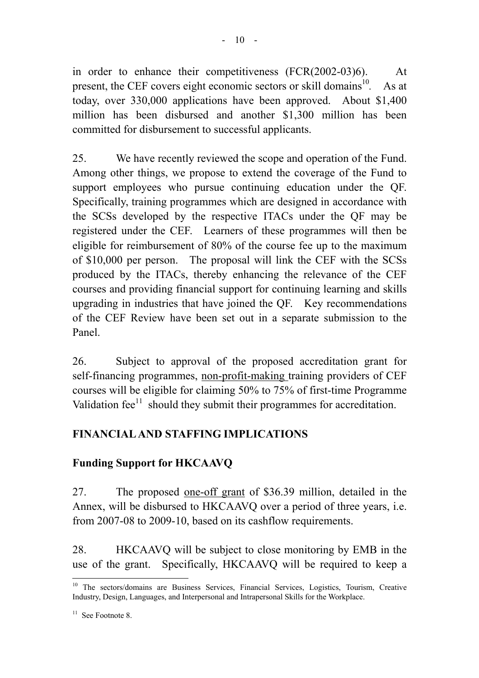in order to enhance their competitiveness (FCR(2002-03)6). At present, the CEF covers eight economic sectors or skill domains<sup>10</sup>. As at today, over 330,000 applications have been approved. About \$1,400 million has been disbursed and another \$1,300 million has been committed for disbursement to successful applicants.

25. We have recently reviewed the scope and operation of the Fund. Among other things, we propose to extend the coverage of the Fund to support employees who pursue continuing education under the QF. Specifically, training programmes which are designed in accordance with the SCSs developed by the respective ITACs under the QF may be registered under the CEF. Learners of these programmes will then be eligible for reimbursement of 80% of the course fee up to the maximum of \$10,000 per person. The proposal will link the CEF with the SCSs produced by the ITACs, thereby enhancing the relevance of the CEF courses and providing financial support for continuing learning and skills upgrading in industries that have joined the QF. Key recommendations of the CEF Review have been set out in a separate submission to the Panel.

26. Subject to approval of the proposed accreditation grant for self-financing programmes, non-profit-making training providers of CEF courses will be eligible for claiming 50% to 75% of first-time Programme Validation  $fee^{11}$  should they submit their programmes for accreditation.

# **FINANCIAL AND STAFFING IMPLICATIONS**

## **Funding Support for HKCAAVQ**

27. The proposed one-off grant of \$36.39 million, detailed in the Annex, will be disbursed to HKCAAVQ over a period of three years, i.e. from 2007-08 to 2009-10, based on its cashflow requirements.

28. HKCAAVQ will be subject to close monitoring by EMB in the use of the grant. Specifically, HKCAAVQ will be required to keep a

 $\overline{a}$ 

<sup>&</sup>lt;sup>10</sup> The sectors/domains are Business Services, Financial Services, Logistics, Tourism, Creative Industry, Design, Languages, and Interpersonal and Intrapersonal Skills for the Workplace.

 $11$  See Footnote 8.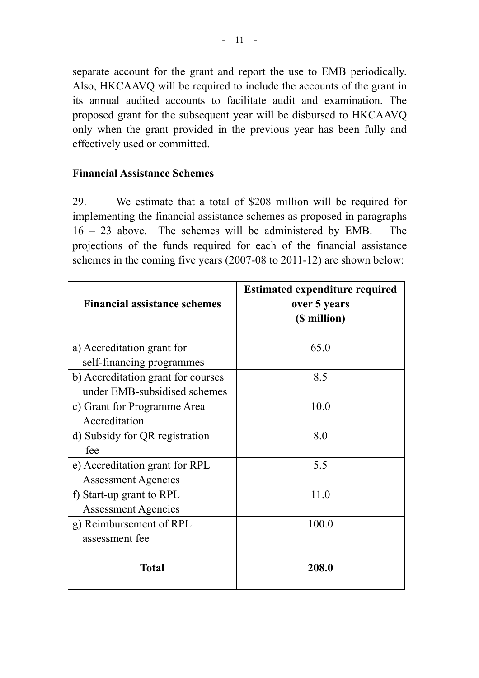separate account for the grant and report the use to EMB periodically. Also, HKCAAVQ will be required to include the accounts of the grant in its annual audited accounts to facilitate audit and examination. The proposed grant for the subsequent year will be disbursed to HKCAAVQ only when the grant provided in the previous year has been fully and effectively used or committed.

### **Financial Assistance Schemes**

29. We estimate that a total of \$208 million will be required for implementing the financial assistance schemes as proposed in paragraphs 16 – 23 above. The schemes will be administered by EMB. The projections of the funds required for each of the financial assistance schemes in the coming five years (2007-08 to 2011-12) are shown below:

| <b>Financial assistance schemes</b> | <b>Estimated expenditure required</b><br>over 5 years<br>(\$ million) |
|-------------------------------------|-----------------------------------------------------------------------|
| a) Accreditation grant for          | 65.0                                                                  |
| self-financing programmes           |                                                                       |
| b) Accreditation grant for courses  | 8.5                                                                   |
| under EMB-subsidised schemes        |                                                                       |
| c) Grant for Programme Area         | 10.0                                                                  |
| Accreditation                       |                                                                       |
| d) Subsidy for QR registration      | 8.0                                                                   |
| fee                                 |                                                                       |
| e) Accreditation grant for RPL      | 5.5                                                                   |
| <b>Assessment Agencies</b>          |                                                                       |
| f) Start-up grant to RPL            | 11.0                                                                  |
| <b>Assessment Agencies</b>          |                                                                       |
| g) Reimbursement of RPL             | 100.0                                                                 |
| assessment fee                      |                                                                       |
| Total                               | 208.0                                                                 |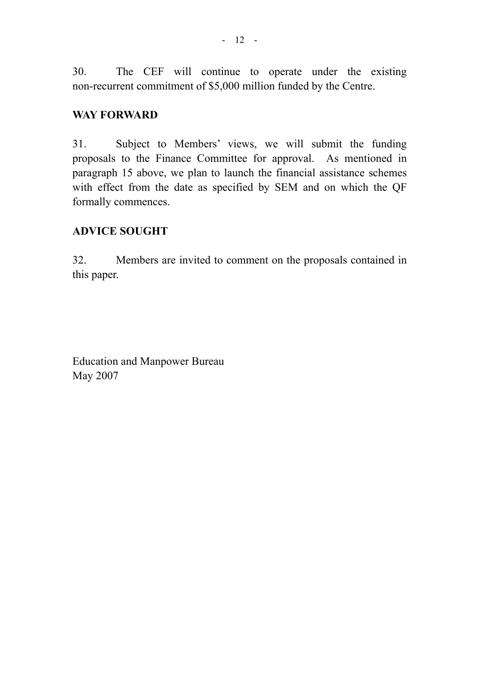30. The CEF will continue to operate under the existing non-recurrent commitment of \$5,000 million funded by the Centre.

#### **WAY FORWARD**

31. Subject to Members' views, we will submit the funding proposals to the Finance Committee for approval. As mentioned in paragraph 15 above, we plan to launch the financial assistance schemes with effect from the date as specified by SEM and on which the QF formally commences.

#### **ADVICE SOUGHT**

32. Members are invited to comment on the proposals contained in this paper.

Education and Manpower Bureau May 2007